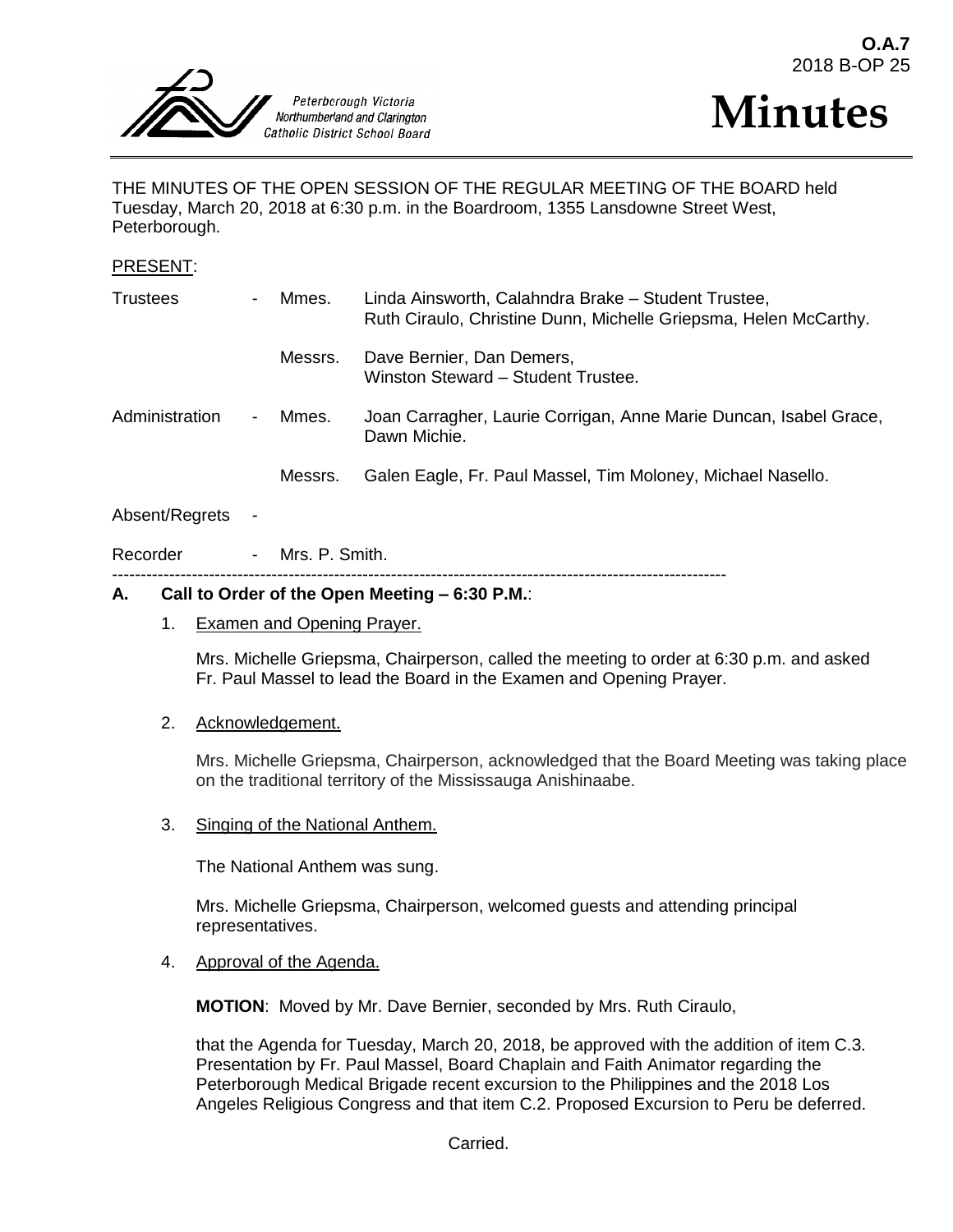



THE MINUTES OF THE OPEN SESSION OF THE REGULAR MEETING OF THE BOARD held Tuesday, March 20, 2018 at 6:30 p.m. in the Boardroom, 1355 Lansdowne Street West, Peterborough.

#### PRESENT:

| <b>Trustees</b> | $\overline{\phantom{0}}$ | Mmes.   | Linda Ainsworth, Calahndra Brake - Student Trustee,<br>Ruth Ciraulo, Christine Dunn, Michelle Griepsma, Helen McCarthy. |
|-----------------|--------------------------|---------|-------------------------------------------------------------------------------------------------------------------------|
|                 |                          | Messrs. | Dave Bernier, Dan Demers,<br>Winston Steward - Student Trustee.                                                         |
| Administration  | $\overline{\phantom{0}}$ | Mmes.   | Joan Carragher, Laurie Corrigan, Anne Marie Duncan, Isabel Grace,<br>Dawn Michie.                                       |
|                 |                          | Messrs. | Galen Eagle, Fr. Paul Massel, Tim Moloney, Michael Nasello.                                                             |
| Absent/Regrets  | $\overline{\phantom{a}}$ |         |                                                                                                                         |

Recorder - Mrs. P. Smith.

------------------------------------------------------------------------------------------------------------

## **A. Call to Order of the Open Meeting – 6:30 P.M.**:

#### 1. Examen and Opening Prayer.

Mrs. Michelle Griepsma, Chairperson, called the meeting to order at 6:30 p.m. and asked Fr. Paul Massel to lead the Board in the Examen and Opening Prayer.

## 2. Acknowledgement.

Mrs. Michelle Griepsma, Chairperson, acknowledged that the Board Meeting was taking place on the traditional territory of the Mississauga Anishinaabe.

3. Singing of the National Anthem.

The National Anthem was sung.

Mrs. Michelle Griepsma, Chairperson, welcomed guests and attending principal representatives.

#### 4. Approval of the Agenda.

**MOTION**: Moved by Mr. Dave Bernier, seconded by Mrs. Ruth Ciraulo,

that the Agenda for Tuesday, March 20, 2018, be approved with the addition of item C.3. Presentation by Fr. Paul Massel, Board Chaplain and Faith Animator regarding the Peterborough Medical Brigade recent excursion to the Philippines and the 2018 Los Angeles Religious Congress and that item C.2. Proposed Excursion to Peru be deferred.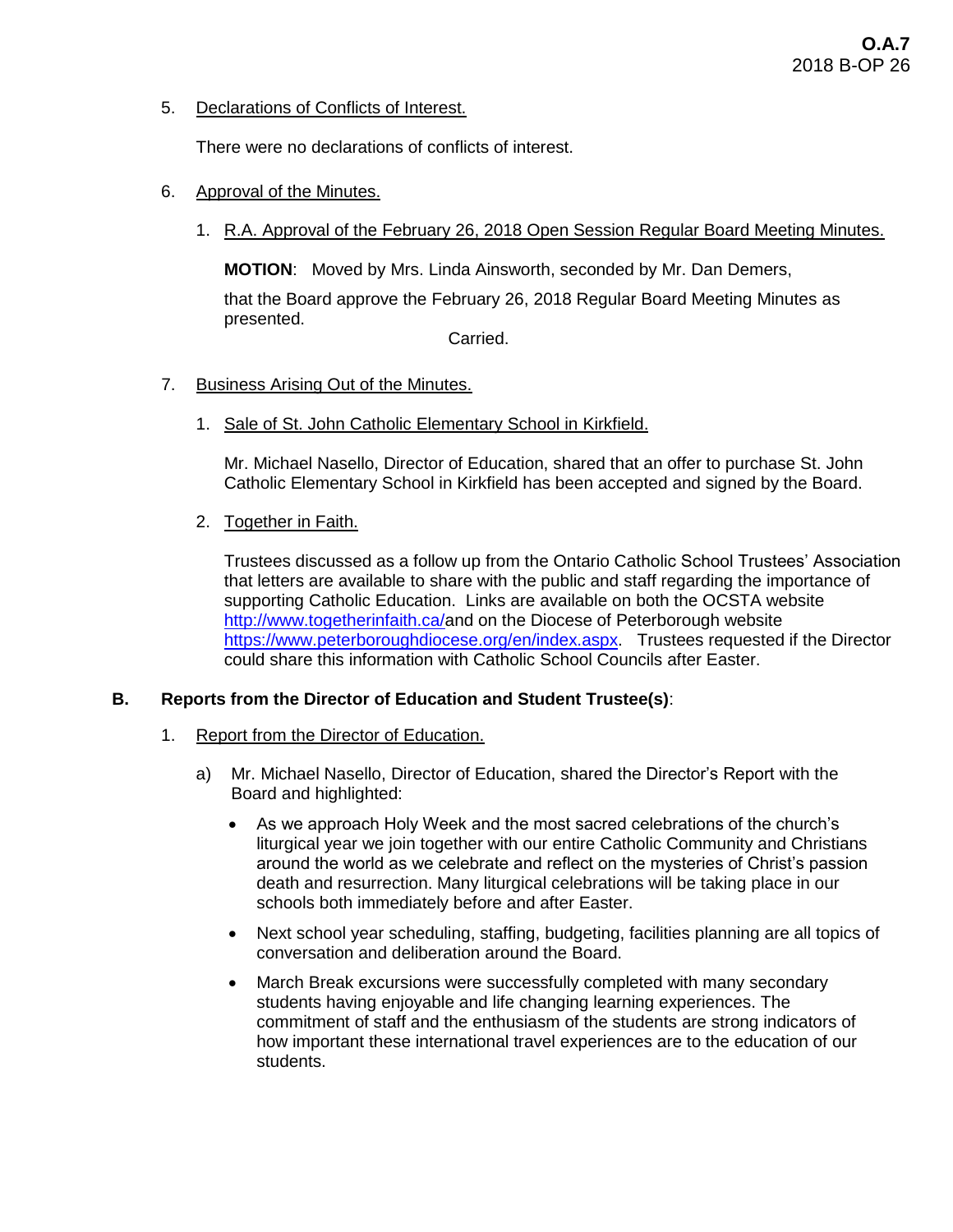5. Declarations of Conflicts of Interest.

There were no declarations of conflicts of interest.

- 6. Approval of the Minutes.
	- 1. R.A. Approval of the February 26, 2018 Open Session Regular Board Meeting Minutes.

**MOTION**: Moved by Mrs. Linda Ainsworth, seconded by Mr. Dan Demers,

that the Board approve the February 26, 2018 Regular Board Meeting Minutes as presented.

Carried.

- 7. Business Arising Out of the Minutes.
	- 1. Sale of St. John Catholic Elementary School in Kirkfield.

Mr. Michael Nasello, Director of Education, shared that an offer to purchase St. John Catholic Elementary School in Kirkfield has been accepted and signed by the Board.

2. Together in Faith.

Trustees discussed as a follow up from the Ontario Catholic School Trustees' Association that letters are available to share with the public and staff regarding the importance of supporting Catholic Education. Links are available on both the OCSTA website [http://www.togetherinfaith.ca/a](http://www.togetherinfaith.ca/)nd on the Diocese of Peterborough website [https://www.peterboroughdiocese.org/en/index.aspx.](https://www.peterboroughdiocese.org/en/index.aspx) Trustees requested if the Director could share this information with Catholic School Councils after Easter.

# **B. Reports from the Director of Education and Student Trustee(s)**:

- 1. Report from the Director of Education.
	- a) Mr. Michael Nasello, Director of Education, shared the Director's Report with the Board and highlighted:
		- As we approach Holy Week and the most sacred celebrations of the church's liturgical year we join together with our entire Catholic Community and Christians around the world as we celebrate and reflect on the mysteries of Christ's passion death and resurrection. Many liturgical celebrations will be taking place in our schools both immediately before and after Easter.
		- Next school year scheduling, staffing, budgeting, facilities planning are all topics of conversation and deliberation around the Board.
		- March Break excursions were successfully completed with many secondary students having enjoyable and life changing learning experiences. The commitment of staff and the enthusiasm of the students are strong indicators of how important these international travel experiences are to the education of our students.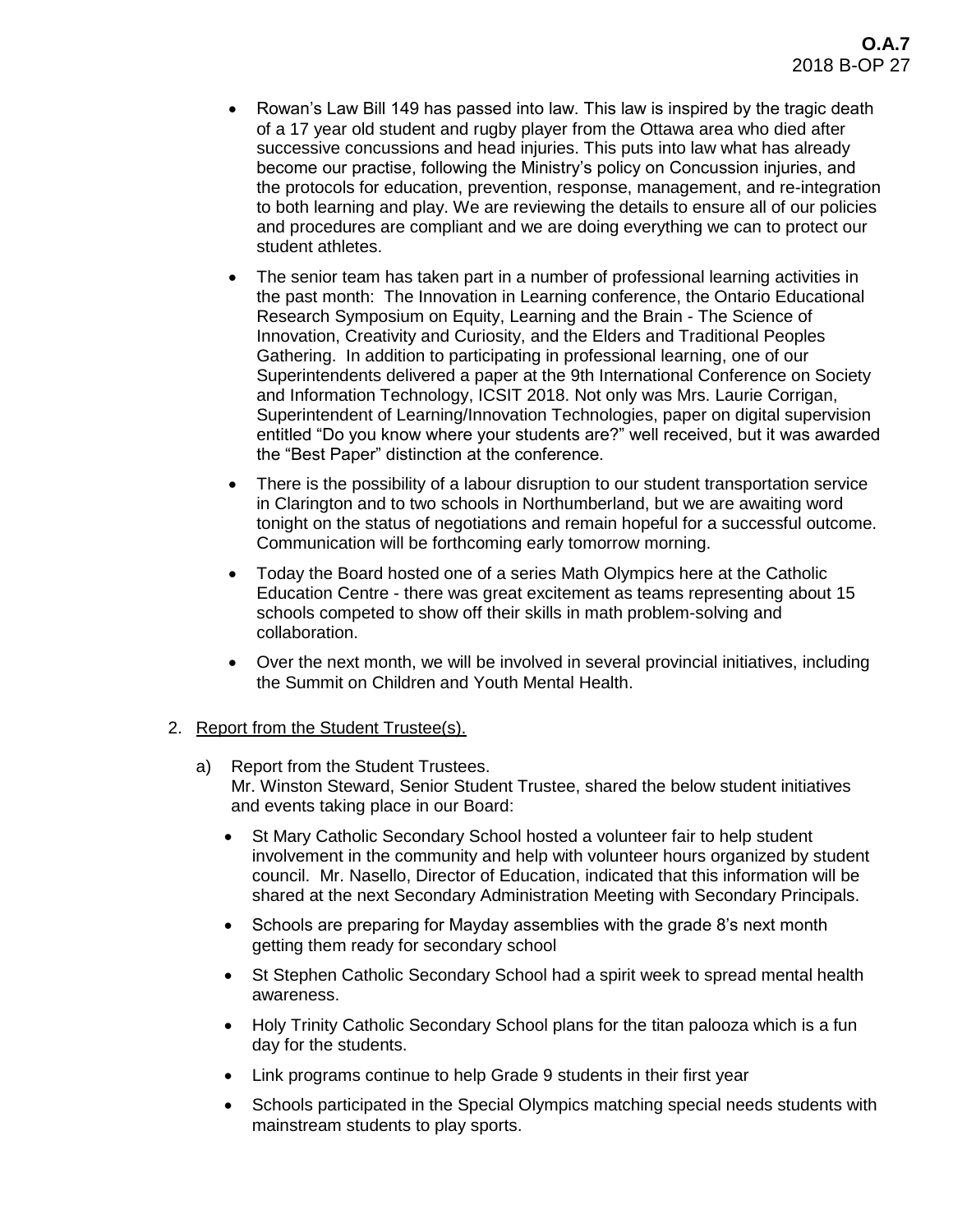- Rowan's Law Bill 149 has passed into law. This law is inspired by the tragic death of a 17 year old student and rugby player from the Ottawa area who died after successive concussions and head injuries. This puts into law what has already become our practise, following the Ministry's policy on Concussion injuries, and the protocols for education, prevention, response, management, and re-integration to both learning and play. We are reviewing the details to ensure all of our policies and procedures are compliant and we are doing everything we can to protect our student athletes.
- The senior team has taken part in a number of professional learning activities in the past month: The Innovation in Learning conference, the Ontario Educational Research Symposium on Equity, Learning and the Brain - The Science of Innovation, Creativity and Curiosity, and the Elders and Traditional Peoples Gathering. In addition to participating in professional learning, one of our Superintendents delivered a paper at the 9th International Conference on Society and Information Technology, ICSIT 2018. Not only was Mrs. Laurie Corrigan, Superintendent of Learning/Innovation Technologies, paper on digital supervision entitled "Do you know where your students are?" well received, but it was awarded the "Best Paper" distinction at the conference.
- There is the possibility of a labour disruption to our student transportation service in Clarington and to two schools in Northumberland, but we are awaiting word tonight on the status of negotiations and remain hopeful for a successful outcome. Communication will be forthcoming early tomorrow morning.
- Today the Board hosted one of a series Math Olympics here at the Catholic Education Centre - there was great excitement as teams representing about 15 schools competed to show off their skills in math problem-solving and collaboration.
- Over the next month, we will be involved in several provincial initiatives, including the Summit on Children and Youth Mental Health.
- 2. Report from the Student Trustee(s).
	- a) Report from the Student Trustees. Mr. Winston Steward, Senior Student Trustee, shared the below student initiatives and events taking place in our Board:
		- St Mary Catholic Secondary School hosted a volunteer fair to help student involvement in the community and help with volunteer hours organized by student council. Mr. Nasello, Director of Education, indicated that this information will be shared at the next Secondary Administration Meeting with Secondary Principals.
		- Schools are preparing for Mayday assemblies with the grade 8's next month getting them ready for secondary school
		- St Stephen Catholic Secondary School had a spirit week to spread mental health awareness.
		- Holy Trinity Catholic Secondary School plans for the titan palooza which is a fun day for the students.
		- Link programs continue to help Grade 9 students in their first year
		- Schools participated in the Special Olympics matching special needs students with mainstream students to play sports.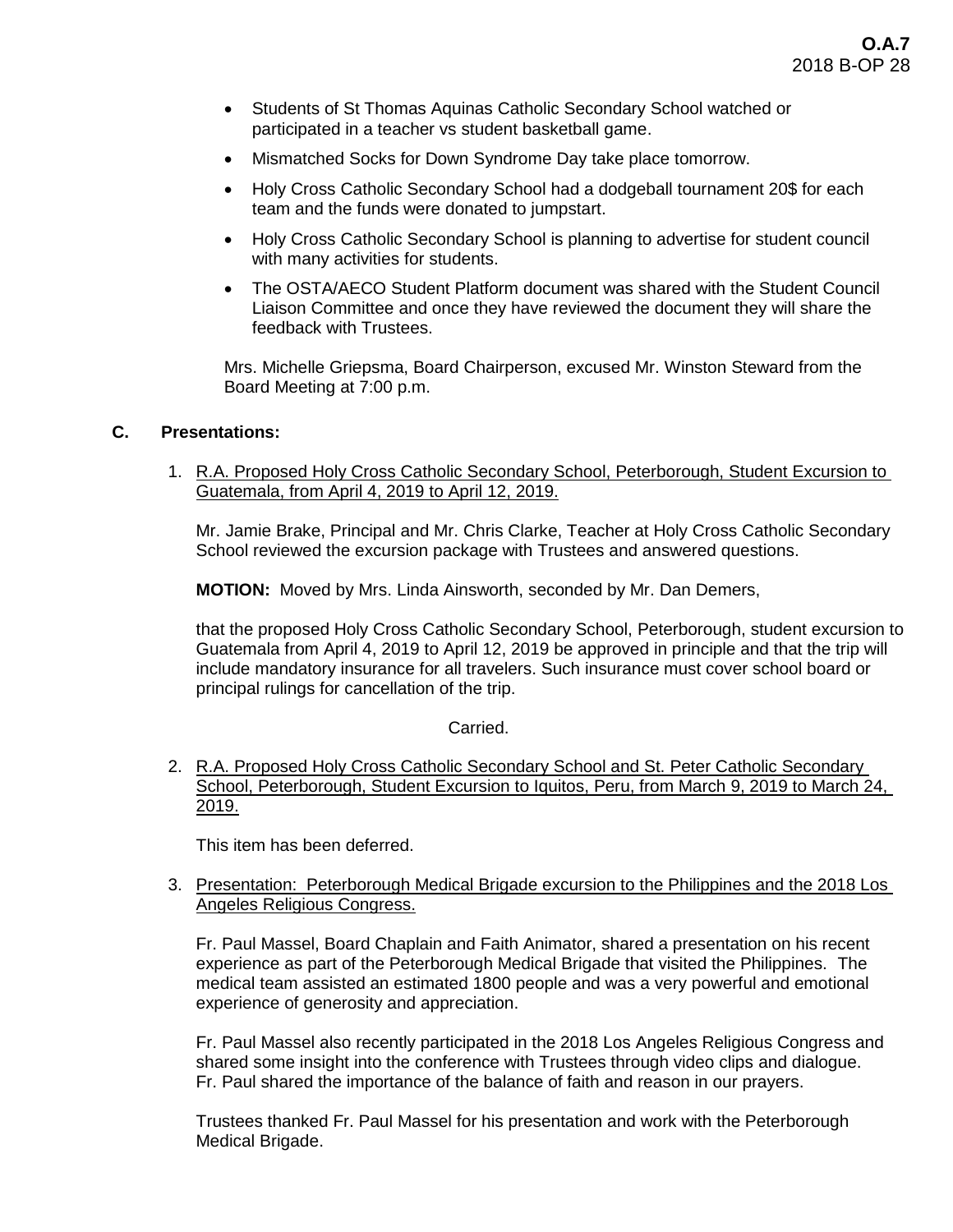- Students of St Thomas Aquinas Catholic Secondary School watched or participated in a teacher vs student basketball game.
- Mismatched Socks for Down Syndrome Day take place tomorrow.
- Holy Cross Catholic Secondary School had a dodgeball tournament 20\$ for each team and the funds were donated to jumpstart.
- Holy Cross Catholic Secondary School is planning to advertise for student council with many activities for students.
- The OSTA/AECO Student Platform document was shared with the Student Council Liaison Committee and once they have reviewed the document they will share the feedback with Trustees.

Mrs. Michelle Griepsma, Board Chairperson, excused Mr. Winston Steward from the Board Meeting at 7:00 p.m.

# **C. Presentations:**

1. R.A. Proposed Holy Cross Catholic Secondary School, Peterborough, Student Excursion to Guatemala, from April 4, 2019 to April 12, 2019.

Mr. Jamie Brake, Principal and Mr. Chris Clarke, Teacher at Holy Cross Catholic Secondary School reviewed the excursion package with Trustees and answered questions.

**MOTION:** Moved by Mrs. Linda Ainsworth, seconded by Mr. Dan Demers,

that the proposed Holy Cross Catholic Secondary School, Peterborough, student excursion to Guatemala from April 4, 2019 to April 12, 2019 be approved in principle and that the trip will include mandatory insurance for all travelers. Such insurance must cover school board or principal rulings for cancellation of the trip.

#### Carried.

2. R.A. Proposed Holy Cross Catholic Secondary School and St. Peter Catholic Secondary School, Peterborough, Student Excursion to Iquitos, Peru, from March 9, 2019 to March 24, 2019.

This item has been deferred.

## 3. Presentation: Peterborough Medical Brigade excursion to the Philippines and the 2018 Los Angeles Religious Congress.

Fr. Paul Massel, Board Chaplain and Faith Animator, shared a presentation on his recent experience as part of the Peterborough Medical Brigade that visited the Philippines. The medical team assisted an estimated 1800 people and was a very powerful and emotional experience of generosity and appreciation.

Fr. Paul Massel also recently participated in the 2018 Los Angeles Religious Congress and shared some insight into the conference with Trustees through video clips and dialogue. Fr. Paul shared the importance of the balance of faith and reason in our prayers.

Trustees thanked Fr. Paul Massel for his presentation and work with the Peterborough Medical Brigade.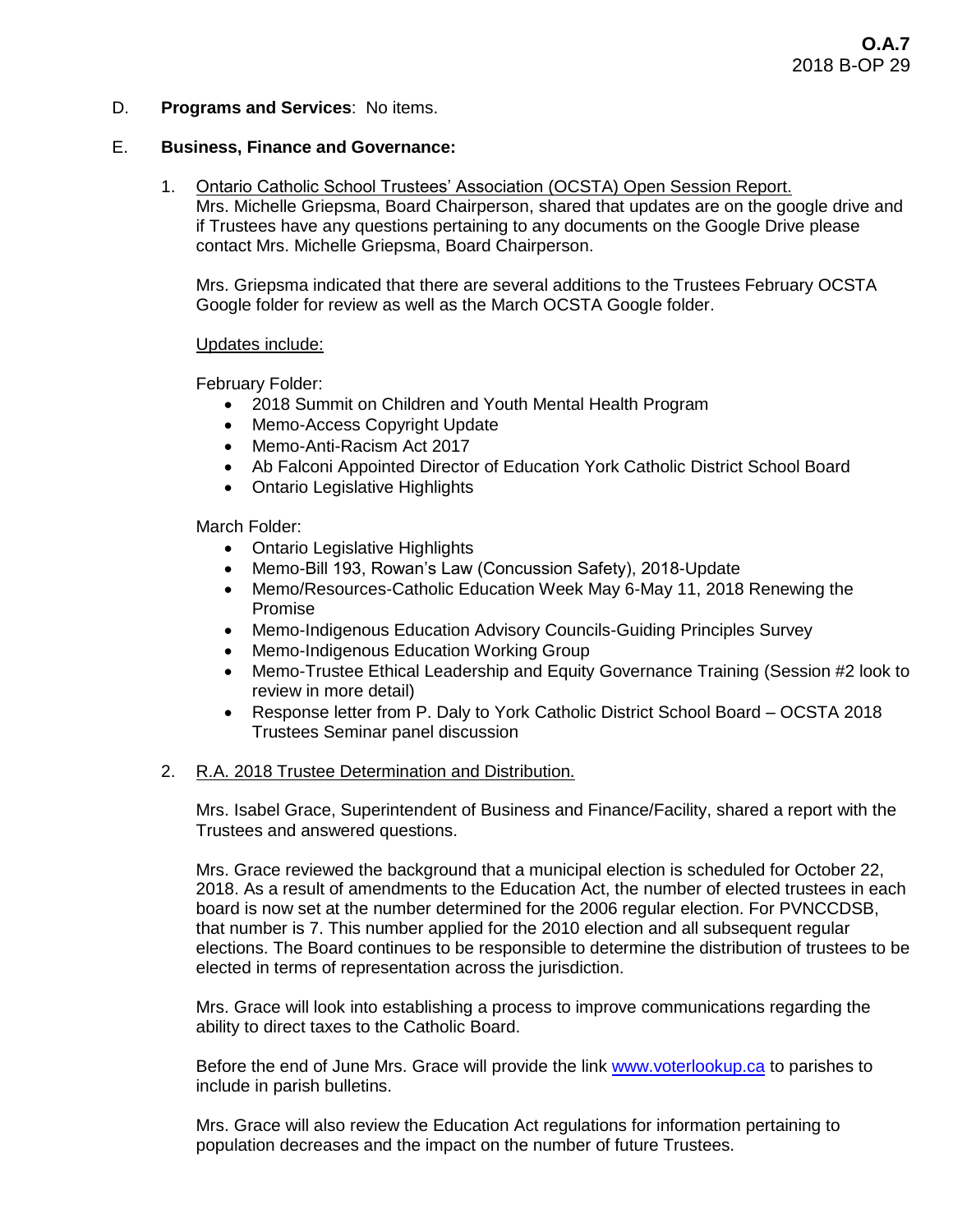D. **Programs and Services**: No items.

## E. **Business, Finance and Governance:**

1. Ontario Catholic School Trustees' Association (OCSTA) Open Session Report. Mrs. Michelle Griepsma, Board Chairperson, shared that updates are on the google drive and if Trustees have any questions pertaining to any documents on the Google Drive please contact Mrs. Michelle Griepsma, Board Chairperson.

Mrs. Griepsma indicated that there are several additions to the Trustees February OCSTA Google folder for review as well as the March OCSTA Google folder.

#### Updates include:

February Folder:

- 2018 Summit on Children and Youth Mental Health Program
- Memo-Access Copyright Update
- Memo-Anti-Racism Act 2017
- Ab Falconi Appointed Director of Education York Catholic District School Board
- Ontario Legislative Highlights

March Folder:

- Ontario Legislative Highlights
- Memo-Bill 193, Rowan's Law (Concussion Safety), 2018-Update
- Memo/Resources-Catholic Education Week May 6-May 11, 2018 Renewing the Promise
- Memo-Indigenous Education Advisory Councils-Guiding Principles Survey
- Memo-Indigenous Education Working Group
- Memo-Trustee Ethical Leadership and Equity Governance Training (Session #2 look to review in more detail)
- Response letter from P. Daly to York Catholic District School Board OCSTA 2018 Trustees Seminar panel discussion

# 2. R.A. 2018 Trustee Determination and Distribution.

Mrs. Isabel Grace, Superintendent of Business and Finance/Facility, shared a report with the Trustees and answered questions.

Mrs. Grace reviewed the background that a municipal election is scheduled for October 22, 2018. As a result of amendments to the Education Act, the number of elected trustees in each board is now set at the number determined for the 2006 regular election. For PVNCCDSB, that number is 7. This number applied for the 2010 election and all subsequent regular elections. The Board continues to be responsible to determine the distribution of trustees to be elected in terms of representation across the jurisdiction.

Mrs. Grace will look into establishing a process to improve communications regarding the ability to direct taxes to the Catholic Board.

Before the end of June Mrs. Grace will provide the link [www.voterlookup.ca](http://www.voterlookup.ca/) to parishes to include in parish bulletins.

Mrs. Grace will also review the Education Act regulations for information pertaining to population decreases and the impact on the number of future Trustees.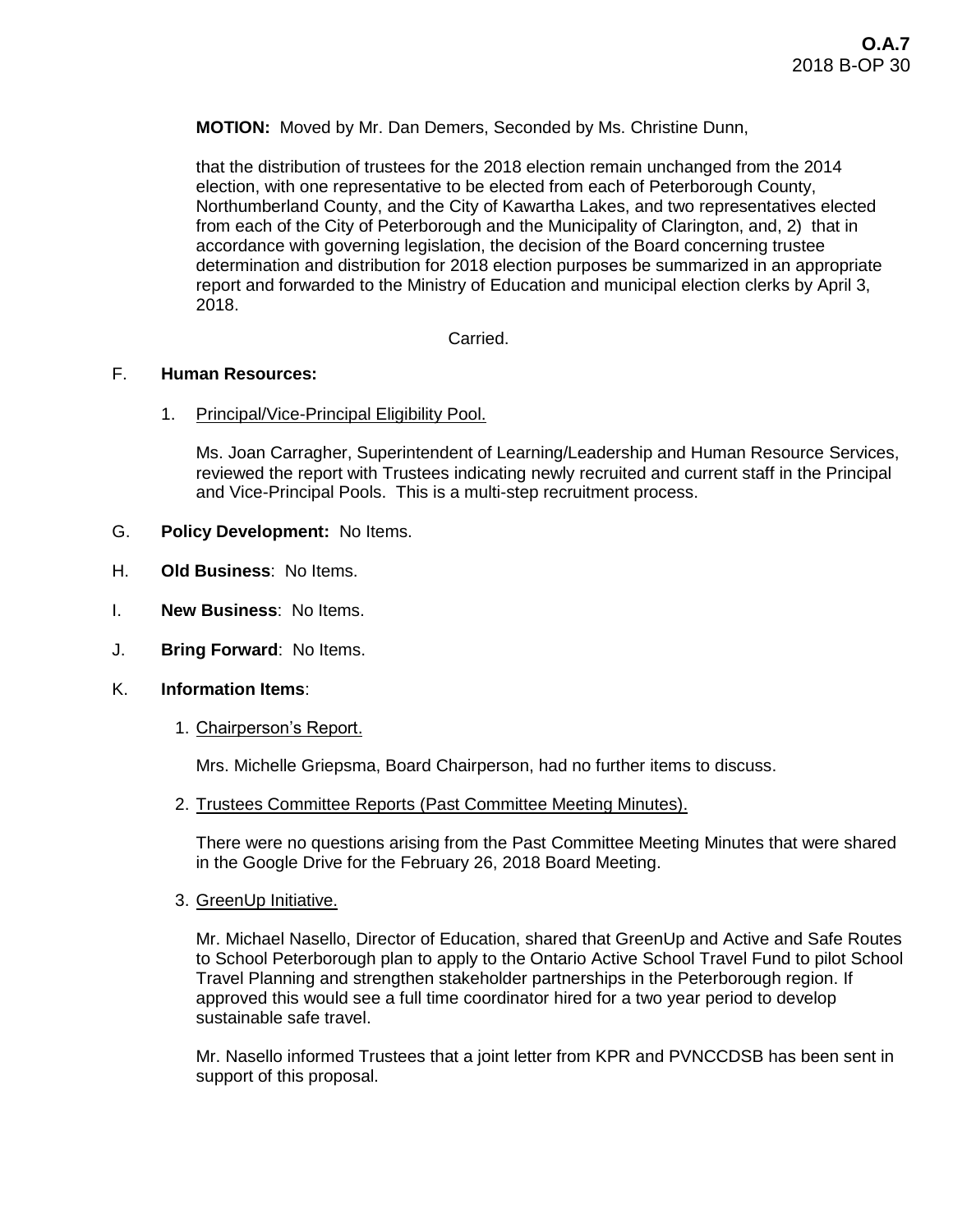**MOTION:** Moved by Mr. Dan Demers, Seconded by Ms. Christine Dunn,

that the distribution of trustees for the 2018 election remain unchanged from the 2014 election, with one representative to be elected from each of Peterborough County, Northumberland County, and the City of Kawartha Lakes, and two representatives elected from each of the City of Peterborough and the Municipality of Clarington, and, 2) that in accordance with governing legislation, the decision of the Board concerning trustee determination and distribution for 2018 election purposes be summarized in an appropriate report and forwarded to the Ministry of Education and municipal election clerks by April 3, 2018.

Carried.

#### F. **Human Resources:**

1. Principal/Vice-Principal Eligibility Pool.

Ms. Joan Carragher, Superintendent of Learning/Leadership and Human Resource Services, reviewed the report with Trustees indicating newly recruited and current staff in the Principal and Vice-Principal Pools. This is a multi-step recruitment process.

- G. **Policy Development:** No Items.
- H. **Old Business**: No Items.
- I. **New Business**: No Items.
- J. **Bring Forward**: No Items.
- K. **Information Items**:
	- 1. Chairperson's Report.

Mrs. Michelle Griepsma, Board Chairperson, had no further items to discuss.

2. Trustees Committee Reports (Past Committee Meeting Minutes).

There were no questions arising from the Past Committee Meeting Minutes that were shared in the Google Drive for the February 26, 2018 Board Meeting.

3. GreenUp Initiative.

Mr. Michael Nasello, Director of Education, shared that GreenUp and Active and Safe Routes to School Peterborough plan to apply to the Ontario Active School Travel Fund to pilot School Travel Planning and strengthen stakeholder partnerships in the Peterborough region. If approved this would see a full time coordinator hired for a two year period to develop sustainable safe travel.

Mr. Nasello informed Trustees that a joint letter from KPR and PVNCCDSB has been sent in support of this proposal.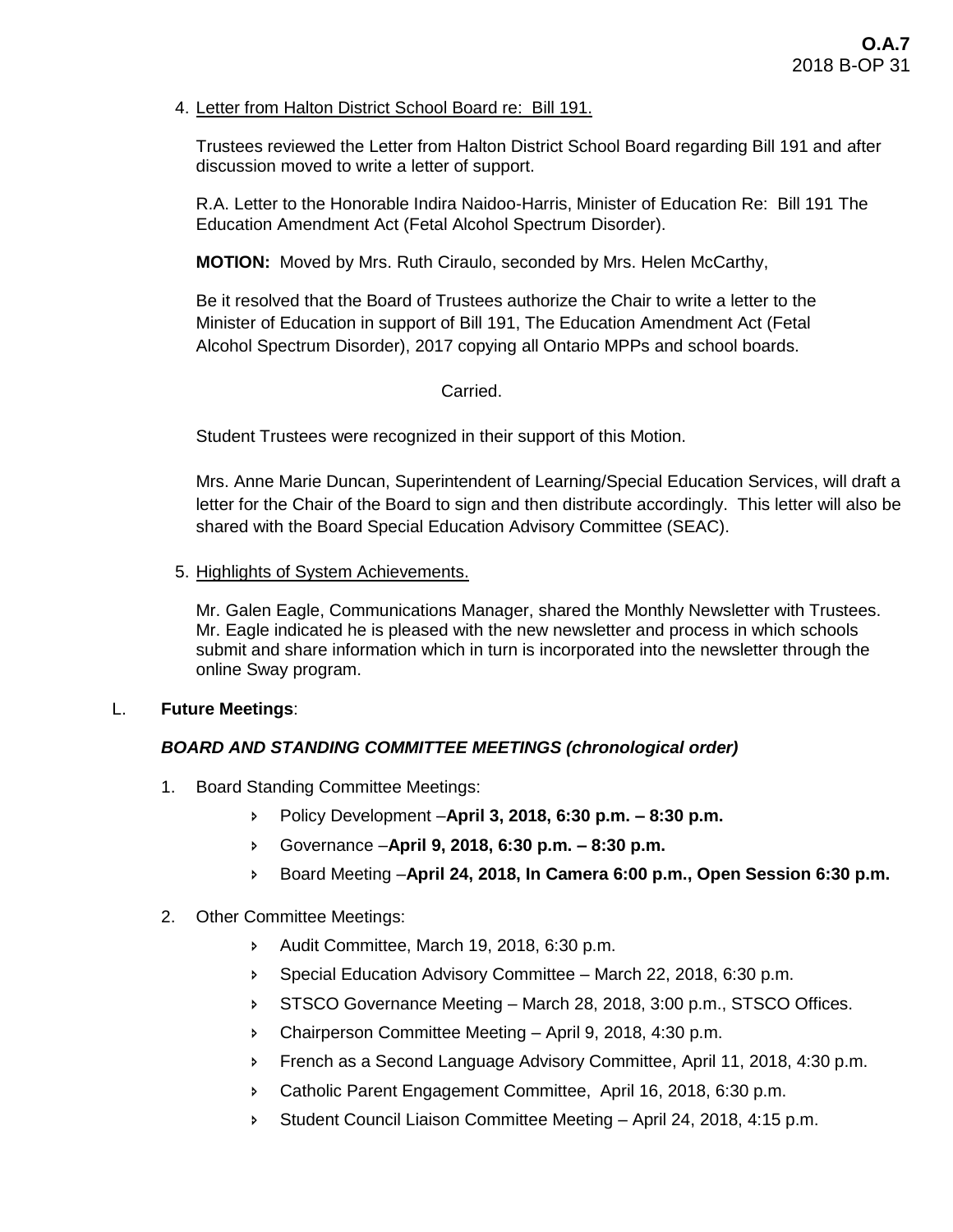# 4. Letter from Halton District School Board re: Bill 191.

Trustees reviewed the Letter from Halton District School Board regarding Bill 191 and after discussion moved to write a letter of support.

R.A. Letter to the Honorable Indira Naidoo-Harris, Minister of Education Re: Bill 191 The Education Amendment Act (Fetal Alcohol Spectrum Disorder).

**MOTION:** Moved by Mrs. Ruth Ciraulo, seconded by Mrs. Helen McCarthy,

Be it resolved that the Board of Trustees authorize the Chair to write a letter to the Minister of Education in support of Bill 191, The Education Amendment Act (Fetal Alcohol Spectrum Disorder), 2017 copying all Ontario MPPs and school boards.

## Carried.

Student Trustees were recognized in their support of this Motion.

Mrs. Anne Marie Duncan, Superintendent of Learning/Special Education Services, will draft a letter for the Chair of the Board to sign and then distribute accordingly. This letter will also be shared with the Board Special Education Advisory Committee (SEAC).

#### 5. Highlights of System Achievements.

Mr. Galen Eagle, Communications Manager, shared the Monthly Newsletter with Trustees. Mr. Eagle indicated he is pleased with the new newsletter and process in which schools submit and share information which in turn is incorporated into the newsletter through the online Sway program.

#### L. **Future Meetings**:

# *BOARD AND STANDING COMMITTEE MEETINGS (chronological order)*

- 1. Board Standing Committee Meetings:
	- Policy Development –**April 3, 2018, 6:30 p.m. – 8:30 p.m.**
	- Governance –**April 9, 2018, 6:30 p.m. – 8:30 p.m.**
	- Board Meeting –**April 24, 2018, In Camera 6:00 p.m., Open Session 6:30 p.m.**

# 2. Other Committee Meetings:

- Audit Committee, March 19, 2018, 6:30 p.m.
- **Special Education Advisory Committee March 22, 2018, 6:30 p.m.**
- STSCO Governance Meeting March 28, 2018, 3:00 p.m., STSCO Offices.
- Chairperson Committee Meeting April 9, 2018, 4:30 p.m.
- **French as a Second Language Advisory Committee, April 11, 2018, 4:30 p.m.**
- Catholic Parent Engagement Committee, April 16, 2018, 6:30 p.m.
- Student Council Liaison Committee Meeting April 24, 2018, 4:15 p.m.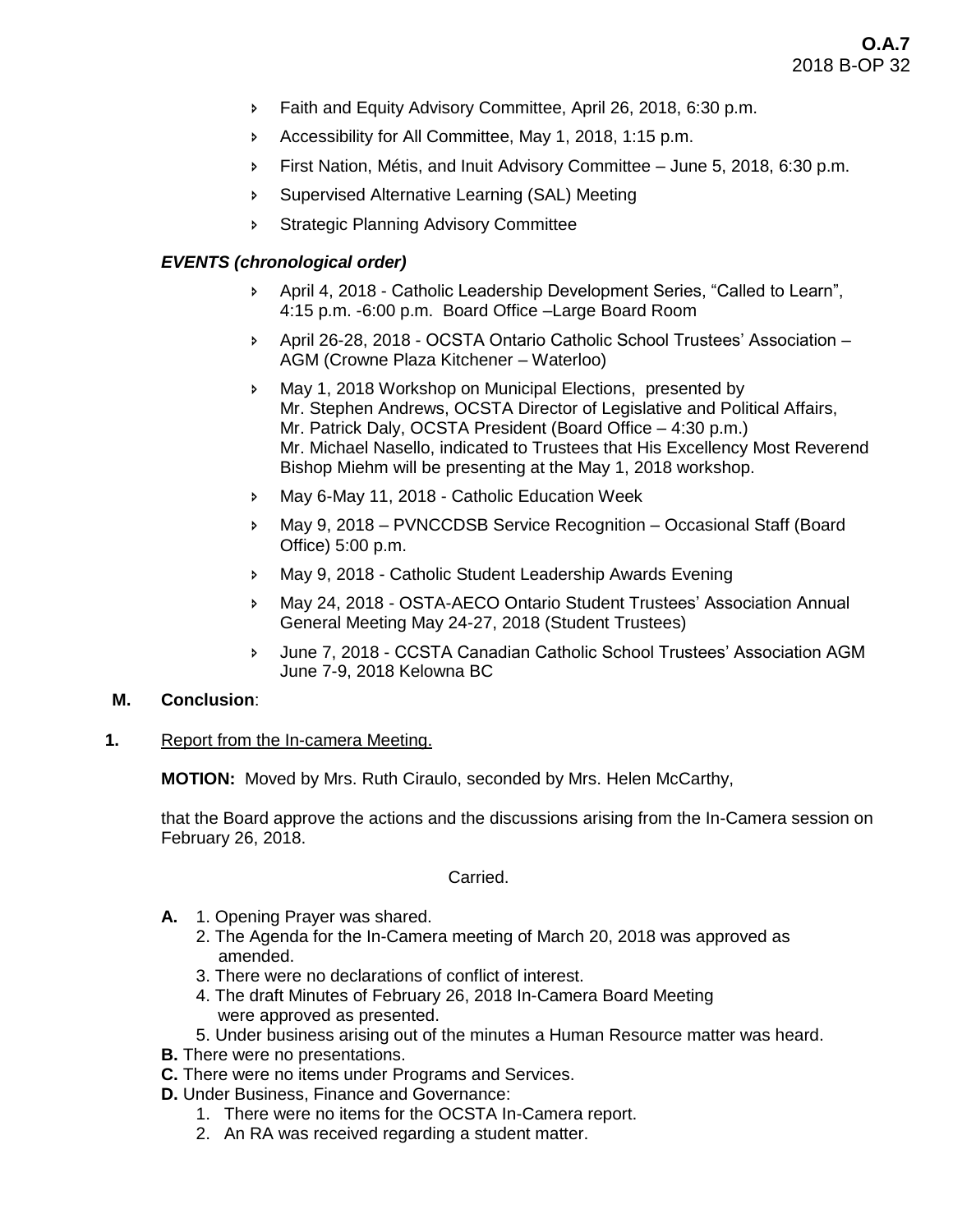- **Faith and Equity Advisory Committee, April 26, 2018, 6:30 p.m.**
- Accessibility for All Committee, May 1, 2018, 1:15 p.m.
- First Nation, Métis, and Inuit Advisory Committee June 5, 2018, 6:30 p.m.
- Supervised Alternative Learning (SAL) Meeting
- **Strategic Planning Advisory Committee**

# *EVENTS (chronological order)*

- April 4, 2018 Catholic Leadership Development Series, "Called to Learn", 4:15 p.m. -6:00 p.m. Board Office –Large Board Room
- April 26-28, 2018 OCSTA Ontario Catholic School Trustees' Association AGM (Crowne Plaza Kitchener – Waterloo)
- May 1, 2018 Workshop on Municipal Elections, presented by Mr. Stephen Andrews, OCSTA Director of Legislative and Political Affairs, Mr. Patrick Daly, OCSTA President (Board Office – 4:30 p.m.) Mr. Michael Nasello, indicated to Trustees that His Excellency Most Reverend Bishop Miehm will be presenting at the May 1, 2018 workshop.
- May 6-May 11, 2018 Catholic Education Week
- May 9, 2018 PVNCCDSB Service Recognition Occasional Staff (Board Office) 5:00 p.m.
- May 9, 2018 Catholic Student Leadership Awards Evening
- May 24, 2018 OSTA-AECO Ontario Student Trustees' Association Annual General Meeting May 24-27, 2018 (Student Trustees)
- June 7, 2018 CCSTA Canadian Catholic School Trustees' Association AGM June 7-9, 2018 Kelowna BC

# **M. Conclusion**:

**1.** Report from the In-camera Meeting.

**MOTION:** Moved by Mrs. Ruth Ciraulo, seconded by Mrs. Helen McCarthy,

that the Board approve the actions and the discussions arising from the In-Camera session on February 26, 2018.

Carried.

- **A.** 1. Opening Prayer was shared.
	- 2. The Agenda for the In-Camera meeting of March 20, 2018 was approved as amended.
	- 3. There were no declarations of conflict of interest.
	- 4. The draft Minutes of February 26, 2018 In-Camera Board Meeting were approved as presented.
	- 5. Under business arising out of the minutes a Human Resource matter was heard.
- **B.** There were no presentations.
- **C.** There were no items under Programs and Services.
- **D.** Under Business, Finance and Governance:
	- 1. There were no items for the OCSTA In-Camera report.
	- 2. An RA was received regarding a student matter.